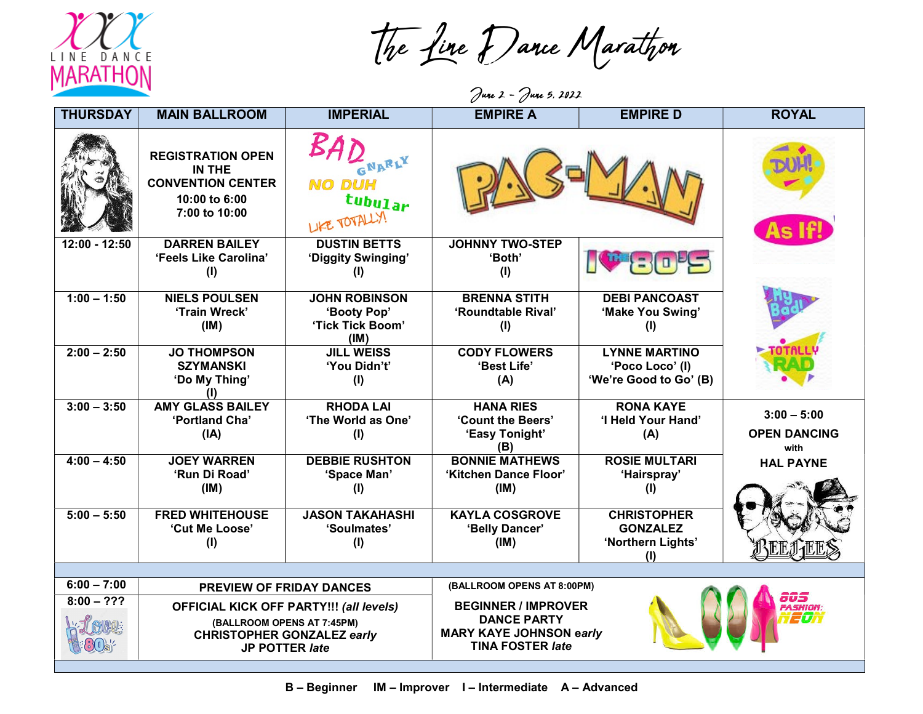

The Line Dance Marathon

June 2 - June 5, 2022

| <b>THURSDAY</b> | <b>MAIN BALLROOM</b>                                                                                                                       | <b>IMPERIAL</b>                                                 | <b>EMPIRE A</b>                                                                                                                         | <b>EMPIRE D</b>                                                   | <b>ROYAL</b>                                 |
|-----------------|--------------------------------------------------------------------------------------------------------------------------------------------|-----------------------------------------------------------------|-----------------------------------------------------------------------------------------------------------------------------------------|-------------------------------------------------------------------|----------------------------------------------|
|                 | <b>REGISTRATION OPEN</b><br>IN THE<br><b>CONVENTION CENTER</b><br>10:00 to 6:00<br>7:00 to 10:00                                           | GNARLY<br><b>NO DUH</b><br>tubular<br>LIKE TOTALLY!             |                                                                                                                                         |                                                                   | As If!                                       |
| $12:00 - 12:50$ | <b>DARREN BAILEY</b><br>'Feels Like Carolina'<br>(1)                                                                                       | <b>DUSTIN BETTS</b><br>'Diggity Swinging'<br>(I)                | <b>JOHNNY TWO-STEP</b><br>'Both'<br>(1)                                                                                                 | $\mathbf{E} = \mathbf{0}$                                         |                                              |
| $1:00 - 1:50$   | <b>NIELS POULSEN</b><br>'Train Wreck'<br>(IM)                                                                                              | <b>JOHN ROBINSON</b><br>'Booty Pop'<br>'Tick Tick Boom'<br>(IM) | <b>BRENNA STITH</b><br>'Roundtable Rival'<br>(1)                                                                                        | <b>DEBI PANCOAST</b><br>'Make You Swing'<br>(1)                   |                                              |
| $2:00 - 2:50$   | <b>JO THOMPSON</b><br><b>SZYMANSKI</b><br>'Do My Thing'<br>(1)                                                                             | <b>JILL WEISS</b><br>'You Didn't'<br>(1)                        | <b>CODY FLOWERS</b><br>'Best Life'<br>(A)                                                                                               | <b>LYNNE MARTINO</b><br>'Poco Loco' (I)<br>'We're Good to Go' (B) |                                              |
| $3:00 - 3:50$   | <b>AMY GLASS BAILEY</b><br>'Portland Cha'<br>(IA)                                                                                          | <b>RHODA LAI</b><br>'The World as One'<br>(1)                   | <b>HANA RIES</b><br>'Count the Beers'<br>'Easy Tonight'<br>(B)                                                                          | <b>RONA KAYE</b><br>'I Held Your Hand'<br>(A)                     | $3:00 - 5:00$<br><b>OPEN DANCING</b><br>with |
| $4:00 - 4:50$   | <b>JOEY WARREN</b><br>'Run Di Road'<br>(IM)                                                                                                | <b>DEBBIE RUSHTON</b><br>'Space Man'<br>(1)                     | <b>BONNIE MATHEWS</b><br>'Kitchen Dance Floor'<br>(IM)                                                                                  | <b>ROSIE MULTARI</b><br>'Hairspray'<br>(1)                        | <b>HAL PAYNE</b>                             |
| $5:00 - 5:50$   | <b>FRED WHITEHOUSE</b><br>'Cut Me Loose'<br>(1)                                                                                            | <b>JASON TAKAHASHI</b><br>'Soulmates'<br>(1)                    | <b>KAYLA COSGROVE</b><br>'Belly Dancer'<br>(IM)                                                                                         | <b>CHRISTOPHER</b><br><b>GONZALEZ</b><br>'Northern Lights'<br>(I) |                                              |
| $6:00 - 7:00$   |                                                                                                                                            |                                                                 |                                                                                                                                         |                                                                   |                                              |
| $8:00 - ???$    | <b>PREVIEW OF FRIDAY DANCES</b>                                                                                                            |                                                                 | (BALLROOM OPENS AT 8:00PM)                                                                                                              |                                                                   | नगर्न                                        |
|                 | <b>OFFICIAL KICK OFF PARTY!!! (all levels)</b><br>(BALLROOM OPENS AT 7:45PM)<br><b>CHRISTOPHER GONZALEZ early</b><br><b>JP POTTER late</b> |                                                                 | <b>BEGINNER / IMPROVER</b><br><b>FASHION:</b><br>20ñ<br><b>DANCE PARTY</b><br><b>MARY KAYE JOHNSON early</b><br><b>TINA FOSTER late</b> |                                                                   |                                              |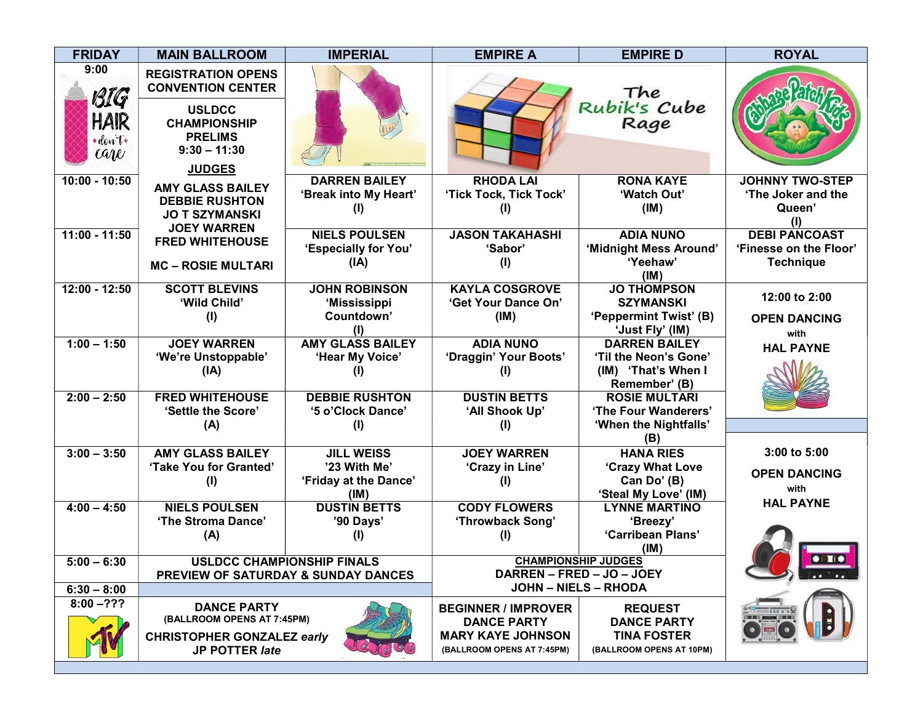| <b>FRIDAY</b>                                                  | <b>MAIN BALLROOM</b>                                                                                                              | <b>IMPERIAL</b>                                                    | <b>EMPIRE A</b>                                                                                            | <b>EMPIRE D</b>                                                                        | <b>ROYAL</b>                                                       |
|----------------------------------------------------------------|-----------------------------------------------------------------------------------------------------------------------------------|--------------------------------------------------------------------|------------------------------------------------------------------------------------------------------------|----------------------------------------------------------------------------------------|--------------------------------------------------------------------|
| 9:00<br>BIG<br>HAIR<br>$+$ don $t*$<br>$C\llap{$\mathcal{U}$}$ | <b>REGISTRATION OPENS</b><br><b>CONVENTION CENTER</b><br><b>USLDCC</b><br><b>CHAMPIONSHIP</b><br><b>PRELIMS</b><br>$9:30 - 11:30$ |                                                                    |                                                                                                            | The<br>Rubik's Cube<br>Rage                                                            |                                                                    |
|                                                                | <b>JUDGES</b>                                                                                                                     |                                                                    |                                                                                                            |                                                                                        |                                                                    |
| $10:00 - 10:50$                                                | <b>AMY GLASS BAILEY</b><br><b>DEBBIE RUSHTON</b><br><b>JO T SZYMANSKI</b><br><b>JOEY WARREN</b>                                   | <b>DARREN BAILEY</b><br>'Break into My Heart'<br>(I)               | <b>RHODA LAI</b><br>'Tick Tock, Tick Tock'<br>(I)                                                          | <b>RONA KAYE</b><br>'Watch Out'<br>(IM)                                                | <b>JOHNNY TWO-STEP</b><br>'The Joker and the<br>Queen'<br>(1)      |
| $11:00 - 11:50$                                                | <b>FRED WHITEHOUSE</b><br><b>MC - ROSIE MULTARI</b>                                                                               | <b>NIELS POULSEN</b><br>'Especially for You'<br>(IA)               | <b>JASON TAKAHASHI</b><br>'Sabor'<br>(1)                                                                   | <b>ADIA NUNO</b><br>'Midnight Mess Around'<br>'Yeehaw'<br>(IM)                         | <b>DEBI PANCOAST</b><br>'Finesse on the Floor'<br><b>Technique</b> |
| 12:00 - 12:50                                                  | <b>SCOTT BLEVINS</b><br>'Wild Child'<br>(1)                                                                                       | <b>JOHN ROBINSON</b><br>'Mississippi<br>Countdown'<br>(I)          | <b>KAYLA COSGROVE</b><br>'Get Your Dance On'<br>(IM)                                                       | <b>JO THOMPSON</b><br><b>SZYMANSKI</b><br>'Peppermint Twist' (B)<br>'Just Fly' (IM)    | 12:00 to 2:00<br><b>OPEN DANCING</b><br>with                       |
| $1:00 - 1:50$                                                  | <b>JOEY WARREN</b><br>'We're Unstoppable'<br>(IA)                                                                                 | <b>AMY GLASS BAILEY</b><br>'Hear My Voice'                         | <b>ADIA NUNO</b><br>'Draggin' Your Boots'<br>(1)                                                           | <b>DARREN BAILEY</b><br>'Til the Neon's Gone'<br>(IM) 'That's When I<br>Remember' (B)  | <b>HAL PAYNE</b>                                                   |
| $2:00 - 2:50$                                                  | <b>FRED WHITEHOUSE</b><br>'Settle the Score'<br>(A)                                                                               | <b>DEBBIE RUSHTON</b><br>'5 o'Clock Dance'<br>(1)                  | <b>DUSTIN BETTS</b><br>'All Shook Up'<br>(1)                                                               | <b>ROSIE MULTARI</b><br>'The Four Wanderers'<br>'When the Nightfalls'<br>(B)           |                                                                    |
| $3:00 - 3:50$                                                  | <b>AMY GLASS BAILEY</b><br>'Take You for Granted'<br>(1)                                                                          | <b>JILL WEISS</b><br>'23 With Me'<br>'Friday at the Dance'<br>(IM) | <b>JOEY WARREN</b><br>'Crazy in Line'<br>(I)                                                               | <b>HANA RIES</b><br>'Crazy What Love<br>Can Do' (B)<br>'Steal My Love' (IM)            | 3:00 to 5:00<br><b>OPEN DANCING</b><br>with                        |
| $4:00 - 4:50$                                                  | <b>NIELS POULSEN</b><br>'The Stroma Dance'<br>(A)                                                                                 | <b>DUSTIN BETTS</b><br>'90 Days'<br>(I)                            | <b>CODY FLOWERS</b><br>'Throwback Song'<br>(1)                                                             | <b>LYNNE MARTINO</b><br>'Breezy'<br>'Carribean Plans'<br>(IM)                          | <b>HAL PAYNE</b>                                                   |
| $5:00 - 6:30$<br>$6:30 - 8:00$                                 | <b>USLDCC CHAMPIONSHIP FINALS</b><br>PREVIEW OF SATURDAY & SUNDAY DANCES                                                          |                                                                    | <b>CHAMPIONSHIP JUDGES</b><br>DARREN – FRED – JO – JOEY<br><b>JOHN - NIELS - RHODA</b>                     |                                                                                        | $\bullet$ $\blacksquare$<br>$\sum_{i=1}^{n}$                       |
| $8:00 - ???$                                                   | <b>DANCE PARTY</b><br>(BALLROOM OPENS AT 7:45PM)<br><b>CHRISTOPHER GONZALEZ early</b><br>JP POTTER late                           |                                                                    | <b>BEGINNER / IMPROVER</b><br><b>DANCE PARTY</b><br><b>MARY KAYE JOHNSON</b><br>(BALLROOM OPENS AT 7:45PM) | <b>REQUEST</b><br><b>DANCE PARTY</b><br><b>TINA FOSTER</b><br>(BALLROOM OPENS AT 10PM) | 0000                                                               |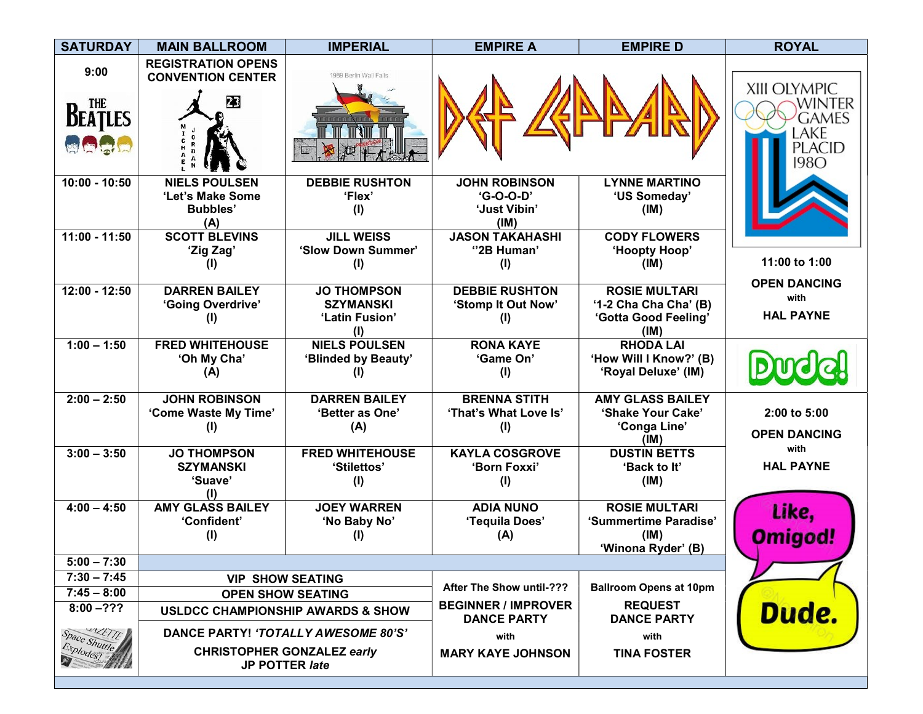| <b>SATURDAY</b>                                                           | <b>MAIN BALLROOM</b>                                               | <b>IMPERIAL</b>                                                                                                                            | <b>EMPIRE A</b>                                                                             | <b>EMPIRE D</b>                                                               | <b>ROYAL</b>                                                     |
|---------------------------------------------------------------------------|--------------------------------------------------------------------|--------------------------------------------------------------------------------------------------------------------------------------------|---------------------------------------------------------------------------------------------|-------------------------------------------------------------------------------|------------------------------------------------------------------|
| 9:00<br><b>BEATLES</b><br>南京局                                             | <b>REGISTRATION OPENS</b><br><b>CONVENTION CENTER</b><br>23        | 1989 Berlin Wall Falls                                                                                                                     |                                                                                             |                                                                               | XIII OLYMPIC<br>WINTER<br>games<br>LAKE<br>PLACID<br><b>1980</b> |
| $10:00 - 10:50$                                                           | <b>NIELS POULSEN</b><br>'Let's Make Some<br><b>Bubbles'</b><br>(A) | <b>DEBBIE RUSHTON</b><br>'Flex'<br>(1)                                                                                                     | <b>JOHN ROBINSON</b><br>'G-O-O-D'<br>'Just Vibin'<br>(IM)                                   | <b>LYNNE MARTINO</b><br>'US Someday'<br>(IM)                                  |                                                                  |
| $11:00 - 11:50$                                                           | <b>SCOTT BLEVINS</b><br>'Zig Zag'                                  | <b>JILL WEISS</b><br>'Slow Down Summer'<br>(1)                                                                                             | <b>JASON TAKAHASHI</b><br>"2B Human"<br>(1)                                                 | <b>CODY FLOWERS</b><br>'Hoopty Hoop'<br>(IM)                                  | 11:00 to 1:00                                                    |
| $12:00 - 12:50$                                                           | <b>DARREN BAILEY</b><br>'Going Overdrive'<br>(I)                   | <b>JO THOMPSON</b><br><b>SZYMANSKI</b><br>'Latin Fusion'<br>(1)                                                                            | <b>DEBBIE RUSHTON</b><br>'Stomp It Out Now'<br>(I)                                          | <b>ROSIE MULTARI</b><br>'1-2 Cha Cha Cha' (B)<br>'Gotta Good Feeling'<br>(IM) | <b>OPEN DANCING</b><br>with<br><b>HAL PAYNE</b>                  |
| $1:00 - 1:50$                                                             | <b>FRED WHITEHOUSE</b><br>'Oh My Cha'<br>(A)                       | <b>NIELS POULSEN</b><br>'Blinded by Beauty'<br>(1)                                                                                         | <b>RONA KAYE</b><br>'Game On'<br>(1)                                                        | <b>RHODA LAI</b><br>'How Will I Know?' (B)<br>'Royal Deluxe' (IM)             |                                                                  |
| $2:00 - 2:50$                                                             | <b>JOHN ROBINSON</b><br>'Come Waste My Time'<br>(1)                | <b>DARREN BAILEY</b><br>'Better as One'<br>(A)                                                                                             | <b>BRENNA STITH</b><br>'That's What Love Is'<br>(1)                                         | <b>AMY GLASS BAILEY</b><br>'Shake Your Cake'<br>'Conga Line'<br>(IM)          | 2:00 to 5:00<br><b>OPEN DANCING</b>                              |
| $3:00 - 3:50$                                                             | <b>JO THOMPSON</b><br><b>SZYMANSKI</b><br>'Suave'                  | <b>FRED WHITEHOUSE</b><br>'Stilettos'<br>(1)                                                                                               | <b>KAYLA COSGROVE</b><br>'Born Foxxi'<br>(1)                                                | <b>DUSTIN BETTS</b><br>'Back to It'<br>(IM)                                   | with<br><b>HAL PAYNE</b>                                         |
| $4:00 - 4:50$                                                             | <b>AMY GLASS BAILEY</b><br>'Confident'<br>(1)                      | <b>JOEY WARREN</b><br>'No Baby No'<br>(1)                                                                                                  | <b>ADIA NUNO</b><br>'Tequila Does'<br>(A)                                                   | <b>ROSIE MULTARI</b><br>'Summertime Paradise'<br>(IM)<br>'Winona Ryder' (B)   | Like,<br>Omigod!                                                 |
| $5:00 - 7:30$                                                             |                                                                    |                                                                                                                                            |                                                                                             |                                                                               |                                                                  |
| $7:30 - 7:45$<br>$7:45 - 8:00$<br>$8:00 - ???$<br>UNETTE<br>Space Shuttle |                                                                    | <b>VIP SHOW SEATING</b><br><b>OPEN SHOW SEATING</b><br><b>USLDCC CHAMPIONSHIP AWARDS &amp; SHOW</b><br>DANCE PARTY! 'TOTALLY AWESOME 80'S' | <b>After The Show until-???</b><br><b>BEGINNER / IMPROVER</b><br><b>DANCE PARTY</b><br>with | <b>Ballroom Opens at 10pm</b><br><b>REQUEST</b><br><b>DANCE PARTY</b><br>with | Dude.                                                            |
| Explodes!                                                                 |                                                                    | <b>CHRISTOPHER GONZALEZ early</b><br>JP POTTER late                                                                                        | <b>MARY KAYE JOHNSON</b>                                                                    | <b>TINA FOSTER</b>                                                            |                                                                  |